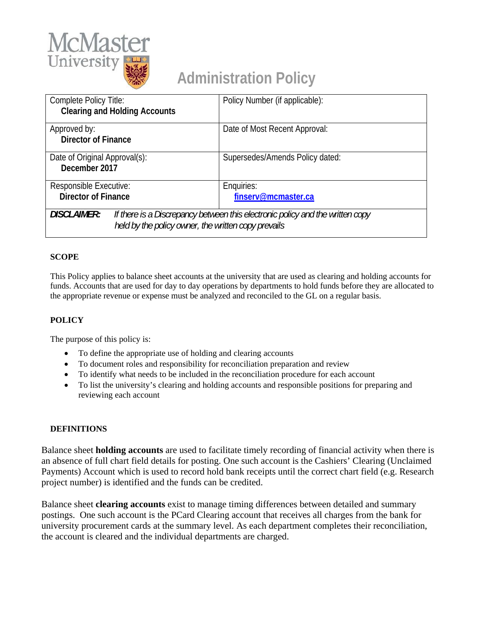

# **Administration Policy**

| Complete Policy Title:<br><b>Clearing and Holding Accounts</b> |  | Policy Number (if applicable):                                                                                                       |  |  |
|----------------------------------------------------------------|--|--------------------------------------------------------------------------------------------------------------------------------------|--|--|
| Approved by:<br><b>Director of Finance</b>                     |  | Date of Most Recent Approval:                                                                                                        |  |  |
| Date of Original Approval(s):<br>December 2017                 |  | Supersedes/Amends Policy dated:                                                                                                      |  |  |
| <b>Responsible Executive:</b><br><b>Director of Finance</b>    |  | Enquiries:<br>finserv@mcmaster.ca                                                                                                    |  |  |
| <b>DISCLAIMER:</b>                                             |  | If there is a Discrepancy between this electronic policy and the written copy<br>held by the policy owner, the written copy prevails |  |  |

## **SCOPE**

This Policy applies to balance sheet accounts at the university that are used as clearing and holding accounts for funds. Accounts that are used for day to day operations by departments to hold funds before they are allocated to the appropriate revenue or expense must be analyzed and reconciled to the GL on a regular basis.

#### **POLICY**

The purpose of this policy is:

- To define the appropriate use of holding and clearing accounts
- To document roles and responsibility for reconciliation preparation and review
- To identify what needs to be included in the reconciliation procedure for each account
- To list the university's clearing and holding accounts and responsible positions for preparing and reviewing each account

#### **DEFINITIONS**

Balance sheet **holding accounts** are used to facilitate timely recording of financial activity when there is an absence of full chart field details for posting. One such account is the Cashiers' Clearing (Unclaimed Payments) Account which is used to record hold bank receipts until the correct chart field (e.g. Research project number) is identified and the funds can be credited.

Balance sheet **clearing accounts** exist to manage timing differences between detailed and summary postings. One such account is the PCard Clearing account that receives all charges from the bank for university procurement cards at the summary level. As each department completes their reconciliation, the account is cleared and the individual departments are charged.